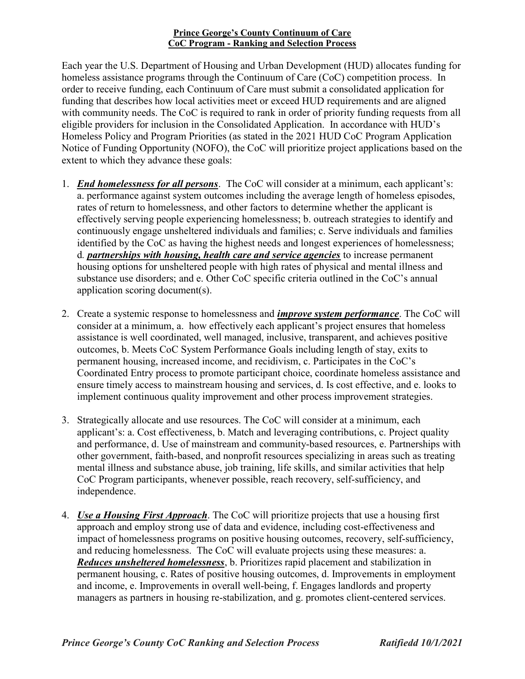#### Prince George's County Continuum of Care CoC Program - Ranking and Selection Process

Each year the U.S. Department of Housing and Urban Development (HUD) allocates funding for homeless assistance programs through the Continuum of Care (CoC) competition process. In order to receive funding, each Continuum of Care must submit a consolidated application for funding that describes how local activities meet or exceed HUD requirements and are aligned with community needs. The CoC is required to rank in order of priority funding requests from all eligible providers for inclusion in the Consolidated Application. In accordance with HUD's Homeless Policy and Program Priorities (as stated in the 2021 HUD CoC Program Application Notice of Funding Opportunity (NOFO), the CoC will prioritize project applications based on the extent to which they advance these goals:

- 1. *End homelessness for all persons*. The CoC will consider at a minimum, each applicant's: a. performance against system outcomes including the average length of homeless episodes, rates of return to homelessness, and other factors to determine whether the applicant is effectively serving people experiencing homelessness; b. outreach strategies to identify and continuously engage unsheltered individuals and families; c. Serve individuals and families identified by the CoC as having the highest needs and longest experiences of homelessness; d. *partnerships with housing, health care and service agencies* to increase permanent housing options for unsheltered people with high rates of physical and mental illness and substance use disorders; and e. Other CoC specific criteria outlined in the CoC's annual application scoring document(s).
- 2. Create a systemic response to homelessness and *improve system performance*. The CoC will consider at a minimum, a. how effectively each applicant's project ensures that homeless assistance is well coordinated, well managed, inclusive, transparent, and achieves positive outcomes, b. Meets CoC System Performance Goals including length of stay, exits to permanent housing, increased income, and recidivism, c. Participates in the CoC's Coordinated Entry process to promote participant choice, coordinate homeless assistance and ensure timely access to mainstream housing and services, d. Is cost effective, and e. looks to implement continuous quality improvement and other process improvement strategies.
- 3. Strategically allocate and use resources. The CoC will consider at a minimum, each applicant's: a. Cost effectiveness, b. Match and leveraging contributions, c. Project quality and performance, d. Use of mainstream and community-based resources, e. Partnerships with other government, faith-based, and nonprofit resources specializing in areas such as treating mental illness and substance abuse, job training, life skills, and similar activities that help CoC Program participants, whenever possible, reach recovery, self-sufficiency, and independence.
- 4. Use a Housing First Approach. The CoC will prioritize projects that use a housing first approach and employ strong use of data and evidence, including cost-effectiveness and impact of homelessness programs on positive housing outcomes, recovery, self-sufficiency, and reducing homelessness. The CoC will evaluate projects using these measures: a. Reduces unsheltered homelessness, b. Prioritizes rapid placement and stabilization in permanent housing, c. Rates of positive housing outcomes, d. Improvements in employment and income, e. Improvements in overall well-being, f. Engages landlords and property managers as partners in housing re-stabilization, and g. promotes client-centered services.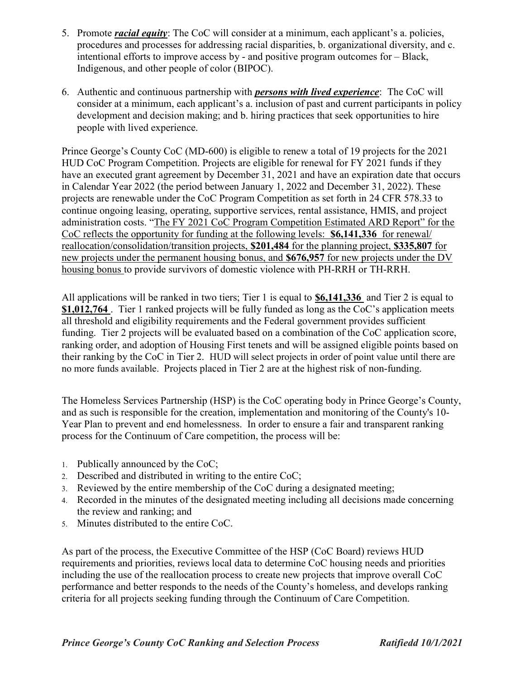- 5. Promote *racial equity*: The CoC will consider at a minimum, each applicant's a. policies, procedures and processes for addressing racial disparities, b. organizational diversity, and c. intentional efforts to improve access by - and positive program outcomes for – Black, Indigenous, and other people of color (BIPOC).
- 6. Authentic and continuous partnership with persons with lived experience: The CoC will consider at a minimum, each applicant's a. inclusion of past and current participants in policy development and decision making; and b. hiring practices that seek opportunities to hire people with lived experience.

Prince George's County CoC (MD-600) is eligible to renew a total of 19 projects for the 2021 HUD CoC Program Competition. Projects are eligible for renewal for FY 2021 funds if they have an executed grant agreement by December 31, 2021 and have an expiration date that occurs in Calendar Year 2022 (the period between January 1, 2022 and December 31, 2022). These projects are renewable under the CoC Program Competition as set forth in 24 CFR 578.33 to continue ongoing leasing, operating, supportive services, rental assistance, HMIS, and project administration costs. "The FY 2021 CoC Program Competition Estimated ARD Report" for the CoC reflects the opportunity for funding at the following levels: \$6,141,336 for renewal/ reallocation/consolidation/transition projects, \$201,484 for the planning project, \$335,807 for new projects under the permanent housing bonus, and \$676,957 for new projects under the DV housing bonus to provide survivors of domestic violence with PH-RRH or TH-RRH.

All applications will be ranked in two tiers; Tier 1 is equal to  $$6,141,336$  and Tier 2 is equal to \$1,012,764. Tier 1 ranked projects will be fully funded as long as the CoC's application meets all threshold and eligibility requirements and the Federal government provides sufficient funding. Tier 2 projects will be evaluated based on a combination of the CoC application score, ranking order, and adoption of Housing First tenets and will be assigned eligible points based on their ranking by the CoC in Tier 2. HUD will select projects in order of point value until there are no more funds available. Projects placed in Tier 2 are at the highest risk of non-funding.

The Homeless Services Partnership (HSP) is the CoC operating body in Prince George's County, and as such is responsible for the creation, implementation and monitoring of the County's 10- Year Plan to prevent and end homelessness. In order to ensure a fair and transparent ranking process for the Continuum of Care competition, the process will be:

- 1. Publically announced by the CoC;
- 2. Described and distributed in writing to the entire CoC;
- 3. Reviewed by the entire membership of the CoC during a designated meeting;
- 4. Recorded in the minutes of the designated meeting including all decisions made concerning the review and ranking; and
- 5. Minutes distributed to the entire CoC.

As part of the process, the Executive Committee of the HSP (CoC Board) reviews HUD requirements and priorities, reviews local data to determine CoC housing needs and priorities including the use of the reallocation process to create new projects that improve overall CoC performance and better responds to the needs of the County's homeless, and develops ranking criteria for all projects seeking funding through the Continuum of Care Competition.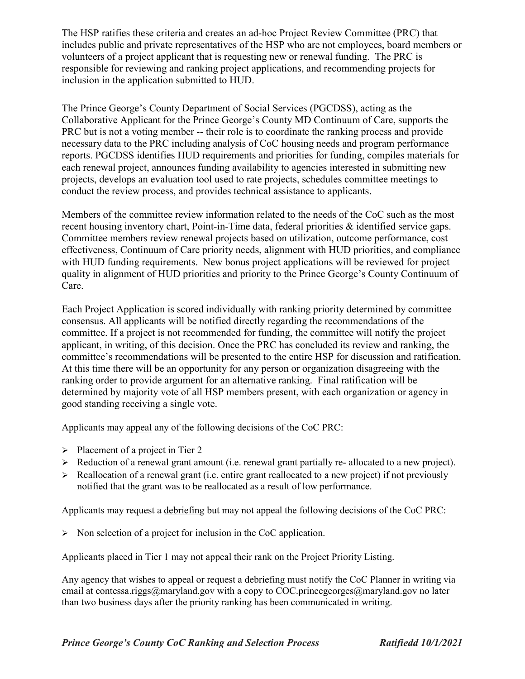The HSP ratifies these criteria and creates an ad-hoc Project Review Committee (PRC) that includes public and private representatives of the HSP who are not employees, board members or volunteers of a project applicant that is requesting new or renewal funding. The PRC is responsible for reviewing and ranking project applications, and recommending projects for inclusion in the application submitted to HUD.

The Prince George's County Department of Social Services (PGCDSS), acting as the Collaborative Applicant for the Prince George's County MD Continuum of Care, supports the PRC but is not a voting member -- their role is to coordinate the ranking process and provide necessary data to the PRC including analysis of CoC housing needs and program performance reports. PGCDSS identifies HUD requirements and priorities for funding, compiles materials for each renewal project, announces funding availability to agencies interested in submitting new projects, develops an evaluation tool used to rate projects, schedules committee meetings to conduct the review process, and provides technical assistance to applicants.

Members of the committee review information related to the needs of the CoC such as the most recent housing inventory chart, Point-in-Time data, federal priorities & identified service gaps. Committee members review renewal projects based on utilization, outcome performance, cost effectiveness, Continuum of Care priority needs, alignment with HUD priorities, and compliance with HUD funding requirements. New bonus project applications will be reviewed for project quality in alignment of HUD priorities and priority to the Prince George's County Continuum of Care.

Each Project Application is scored individually with ranking priority determined by committee consensus. All applicants will be notified directly regarding the recommendations of the committee. If a project is not recommended for funding, the committee will notify the project applicant, in writing, of this decision. Once the PRC has concluded its review and ranking, the committee's recommendations will be presented to the entire HSP for discussion and ratification. At this time there will be an opportunity for any person or organization disagreeing with the ranking order to provide argument for an alternative ranking. Final ratification will be determined by majority vote of all HSP members present, with each organization or agency in good standing receiving a single vote.

Applicants may appeal any of the following decisions of the CoC PRC:

- $\triangleright$  Placement of a project in Tier 2
- $\triangleright$  Reduction of a renewal grant amount (i.e. renewal grant partially re- allocated to a new project).
- $\triangleright$  Reallocation of a renewal grant (i.e. entire grant reallocated to a new project) if not previously notified that the grant was to be reallocated as a result of low performance.

Applicants may request a debriefing but may not appeal the following decisions of the CoC PRC:

 $\triangleright$  Non selection of a project for inclusion in the CoC application.

Applicants placed in Tier 1 may not appeal their rank on the Project Priority Listing.

Any agency that wishes to appeal or request a debriefing must notify the CoC Planner in writing via email at contessa.riggs@maryland.gov with a copy to COC.princegeorges@maryland.gov no later than two business days after the priority ranking has been communicated in writing.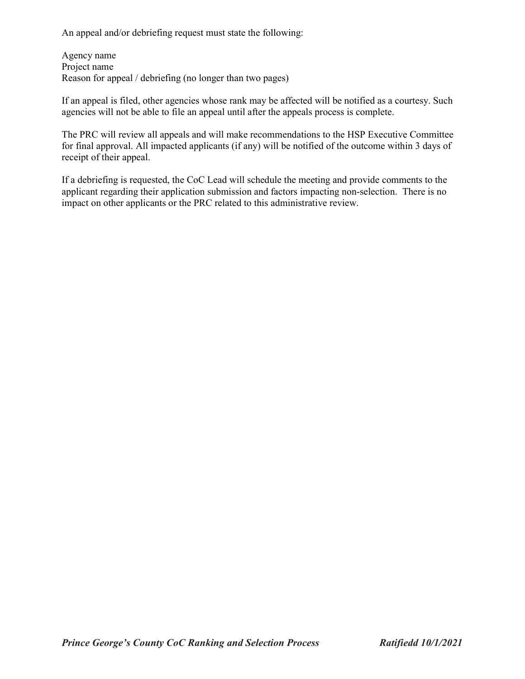An appeal and/or debriefing request must state the following:

Agency name Project name Reason for appeal / debriefing (no longer than two pages)

If an appeal is filed, other agencies whose rank may be affected will be notified as a courtesy. Such agencies will not be able to file an appeal until after the appeals process is complete.

The PRC will review all appeals and will make recommendations to the HSP Executive Committee for final approval. All impacted applicants (if any) will be notified of the outcome within 3 days of receipt of their appeal.

If a debriefing is requested, the CoC Lead will schedule the meeting and provide comments to the applicant regarding their application submission and factors impacting non-selection. There is no impact on other applicants or the PRC related to this administrative review.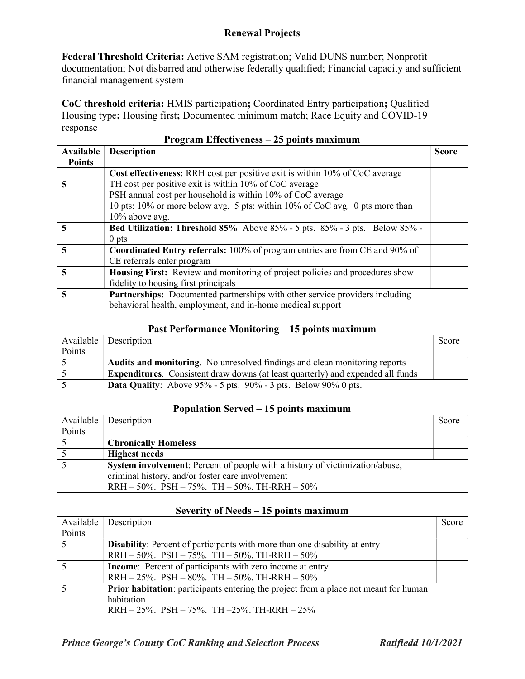## Renewal Projects

Federal Threshold Criteria: Active SAM registration; Valid DUNS number; Nonprofit documentation; Not disbarred and otherwise federally qualified; Financial capacity and sufficient financial management system

CoC threshold criteria: HMIS participation; Coordinated Entry participation; Qualified Housing type; Housing first; Documented minimum match; Race Equity and COVID-19 response

| $\frac{1}{1}$ rugi am Effecuveness – 25 points maximum |                                                                                   |              |
|--------------------------------------------------------|-----------------------------------------------------------------------------------|--------------|
| Available                                              | <b>Description</b>                                                                | <b>Score</b> |
| <b>Points</b>                                          |                                                                                   |              |
|                                                        | Cost effectiveness: RRH cost per positive exit is within 10% of CoC average       |              |
| C.                                                     | TH cost per positive exit is within 10% of CoC average                            |              |
|                                                        | PSH annual cost per household is within 10% of CoC average                        |              |
|                                                        | 10 pts: 10% or more below avg. 5 pts: within 10% of CoC avg. 0 pts more than      |              |
|                                                        | $10\%$ above avg.                                                                 |              |
| 5                                                      | <b>Bed Utilization: Threshold 85%</b> Above 85% - 5 pts. 85% - 3 pts. Below 85% - |              |
|                                                        | $0$ pts                                                                           |              |
| 5                                                      | Coordinated Entry referrals: 100% of program entries are from CE and 90% of       |              |
|                                                        | CE referrals enter program                                                        |              |
| 5                                                      | Housing First: Review and monitoring of project policies and procedures show      |              |
|                                                        | fidelity to housing first principals                                              |              |
| $\overline{5}$                                         | Partnerships: Documented partnerships with other service providers including      |              |
|                                                        | behavioral health, employment, and in-home medical support                        |              |

# Program Effectiveness – 25 points maximum

#### Past Performance Monitoring – 15 points maximum

|        | Available   Description                                                                | Score |
|--------|----------------------------------------------------------------------------------------|-------|
| Points |                                                                                        |       |
|        | <b>Audits and monitoring.</b> No unresolved findings and clean monitoring reports      |       |
|        | <b>Expenditures.</b> Consistent draw downs (at least quarterly) and expended all funds |       |
|        | <b>Data Quality:</b> Above $95\%$ - 5 pts. $90\%$ - 3 pts. Below $90\%$ 0 pts.         |       |

#### Population Served – 15 points maximum

|        | Available   Description                                                      | Score |
|--------|------------------------------------------------------------------------------|-------|
| Points |                                                                              |       |
|        | <b>Chronically Homeless</b>                                                  |       |
|        | <b>Highest needs</b>                                                         |       |
|        | System involvement: Percent of people with a history of victimization/abuse, |       |
|        | criminal history, and/or foster care involvement                             |       |
|        | RRH $-50\%$ . PSH $-75\%$ . TH $-50\%$ . TH-RRH $-50\%$                      |       |

# Severity of Needs – 15 points maximum

|        | Available   Description                                                                     | Score |
|--------|---------------------------------------------------------------------------------------------|-------|
| Points |                                                                                             |       |
|        | <b>Disability:</b> Percent of participants with more than one disability at entry           |       |
|        | RRH $-50\%$ . PSH $-75\%$ . TH $-50\%$ . TH-RRH $-50\%$                                     |       |
|        | <b>Income:</b> Percent of participants with zero income at entry                            |       |
|        | RRH $-25\%$ . PSH $-80\%$ . TH $-50\%$ . TH-RRH $-50\%$                                     |       |
|        | <b>Prior habitation:</b> participants entering the project from a place not meant for human |       |
|        | habitation                                                                                  |       |
|        | RRH $-25\%$ . PSH $-75\%$ . TH $-25\%$ . TH-RRH $-25\%$                                     |       |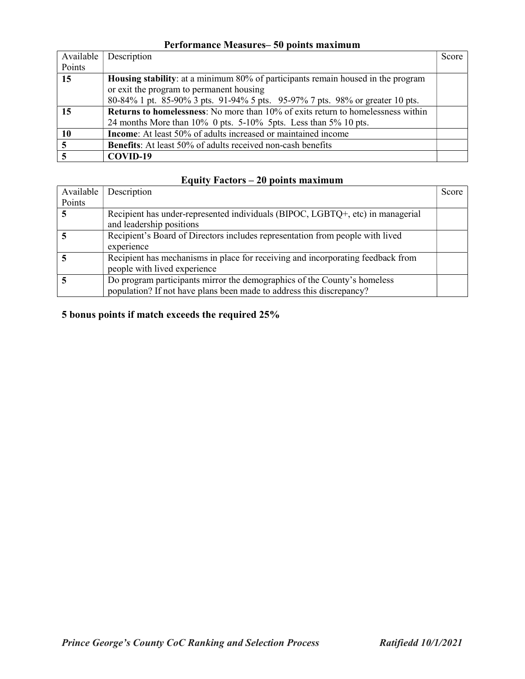# Performance Measures– 50 points maximum

| Available | Description                                                                             | Score |
|-----------|-----------------------------------------------------------------------------------------|-------|
| Points    |                                                                                         |       |
| 15        | <b>Housing stability:</b> at a minimum 80% of participants remain housed in the program |       |
|           | or exit the program to permanent housing                                                |       |
|           | 80-84% 1 pt. 85-90% 3 pts. 91-94% 5 pts. 95-97% 7 pts. 98% or greater 10 pts.           |       |
| 15        | <b>Returns to homelessness:</b> No more than 10% of exits return to homelessness within |       |
|           | 24 months More than $10\%$ 0 pts. 5-10% 5pts. Less than $5\%$ 10 pts.                   |       |
| 10        | <b>Income:</b> At least 50% of adults increased or maintained income                    |       |
| 5         | <b>Benefits:</b> At least 50% of adults received non-cash benefits                      |       |
|           | COVID-19                                                                                |       |

### Equity Factors – 20 points maximum

| Available | Description                                                                     | Score |
|-----------|---------------------------------------------------------------------------------|-------|
| Points    |                                                                                 |       |
|           | Recipient has under-represented individuals (BIPOC, LGBTQ+, etc) in managerial  |       |
|           | and leadership positions                                                        |       |
|           | Recipient's Board of Directors includes representation from people with lived   |       |
|           | experience                                                                      |       |
|           | Recipient has mechanisms in place for receiving and incorporating feedback from |       |
|           | people with lived experience                                                    |       |
|           | Do program participants mirror the demographics of the County's homeless        |       |
|           | population? If not have plans been made to address this discrepancy?            |       |

# 5 bonus points if match exceeds the required 25%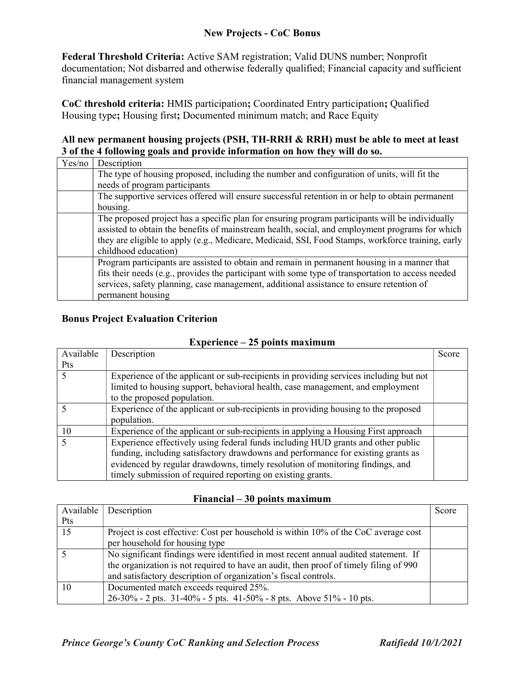Federal Threshold Criteria: Active SAM registration; Valid DUNS number; Nonprofit documentation; Not disbarred and otherwise federally qualified; Financial capacity and sufficient financial management system

CoC threshold criteria: HMIS participation; Coordinated Entry participation; Qualified Housing type; Housing first; Documented minimum match; and Race Equity

### All new permanent housing projects (PSH, TH-RRH & RRH) must be able to meet at least 3 of the 4 following goals and provide information on how they will do so.

| Yes/no | Description                                                                                        |
|--------|----------------------------------------------------------------------------------------------------|
|        | The type of housing proposed, including the number and configuration of units, will fit the        |
|        | needs of program participants                                                                      |
|        | The supportive services offered will ensure successful retention in or help to obtain permanent    |
|        | housing.                                                                                           |
|        | The proposed project has a specific plan for ensuring program participants will be individually    |
|        | assisted to obtain the benefits of mainstream health, social, and employment programs for which    |
|        | they are eligible to apply (e.g., Medicare, Medicaid, SSI, Food Stamps, workforce training, early  |
|        | childhood education)                                                                               |
|        | Program participants are assisted to obtain and remain in permanent housing in a manner that       |
|        | fits their needs (e.g., provides the participant with some type of transportation to access needed |
|        | services, safety planning, case management, additional assistance to ensure retention of           |
|        | permanent housing                                                                                  |

### Bonus Project Evaluation Criterion

| ропис писаничн |                                                                                       |       |
|----------------|---------------------------------------------------------------------------------------|-------|
| Available      | Description                                                                           | Score |
| <b>Pts</b>     |                                                                                       |       |
|                | Experience of the applicant or sub-recipients in providing services including but not |       |
|                | limited to housing support, behavioral health, case management, and employment        |       |
|                | to the proposed population.                                                           |       |
|                | Experience of the applicant or sub-recipients in providing housing to the proposed    |       |
|                | population.                                                                           |       |
| 10             | Experience of the applicant or sub-recipients in applying a Housing First approach    |       |
|                | Experience effectively using federal funds including HUD grants and other public      |       |
|                | funding, including satisfactory drawdowns and performance for existing grants as      |       |
|                | evidenced by regular drawdowns, timely resolution of monitoring findings, and         |       |
|                | timely submission of required reporting on existing grants.                           |       |

### Experience  $-25$  points maximum

#### Financial – 30 points maximum

| Available | Description                                                                           | Score |
|-----------|---------------------------------------------------------------------------------------|-------|
| Pts       |                                                                                       |       |
| 15        | Project is cost effective: Cost per household is within 10% of the CoC average cost   |       |
|           | per household for housing type                                                        |       |
|           | No significant findings were identified in most recent annual audited statement. If   |       |
|           | the organization is not required to have an audit, then proof of timely filing of 990 |       |
|           | and satisfactory description of organization's fiscal controls.                       |       |
| 10        | Documented match exceeds required 25%.                                                |       |
|           | 26-30% - 2 pts. 31-40% - 5 pts. 41-50% - 8 pts. Above 51% - 10 pts.                   |       |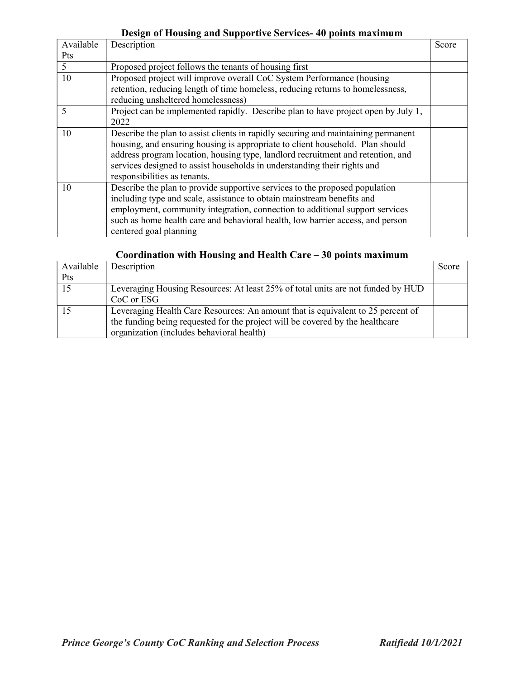## Design of Housing and Supportive Services- 40 points maximum

| Available | Description                                                                       | Score |
|-----------|-----------------------------------------------------------------------------------|-------|
| Pts       |                                                                                   |       |
| 5         | Proposed project follows the tenants of housing first                             |       |
| 10        | Proposed project will improve overall CoC System Performance (housing             |       |
|           | retention, reducing length of time homeless, reducing returns to homelessness,    |       |
|           | reducing unsheltered homelessness)                                                |       |
| 5         | Project can be implemented rapidly. Describe plan to have project open by July 1, |       |
|           | 2022                                                                              |       |
| 10        | Describe the plan to assist clients in rapidly securing and maintaining permanent |       |
|           | housing, and ensuring housing is appropriate to client household. Plan should     |       |
|           | address program location, housing type, landlord recruitment and retention, and   |       |
|           | services designed to assist households in understanding their rights and          |       |
|           | responsibilities as tenants.                                                      |       |
| 10        | Describe the plan to provide supportive services to the proposed population       |       |
|           | including type and scale, assistance to obtain mainstream benefits and            |       |
|           | employment, community integration, connection to additional support services      |       |
|           | such as home health care and behavioral health, low barrier access, and person    |       |
|           | centered goal planning                                                            |       |

## Coordination with Housing and Health Care – 30 points maximum

| Available | Description                                                                     | Score |
|-----------|---------------------------------------------------------------------------------|-------|
| Pts       |                                                                                 |       |
|           | Leveraging Housing Resources: At least 25% of total units are not funded by HUD |       |
|           | CoC or ESG                                                                      |       |
|           | Leveraging Health Care Resources: An amount that is equivalent to 25 percent of |       |
|           | the funding being requested for the project will be covered by the healthcare   |       |
|           | organization (includes behavioral health)                                       |       |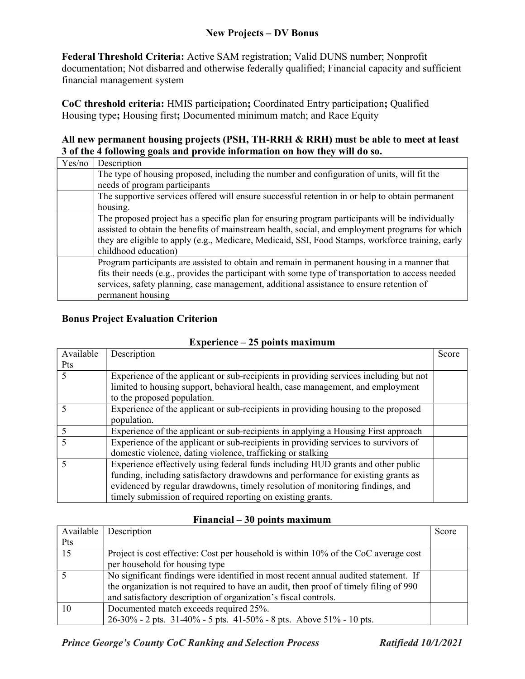Federal Threshold Criteria: Active SAM registration; Valid DUNS number; Nonprofit documentation; Not disbarred and otherwise federally qualified; Financial capacity and sufficient financial management system

CoC threshold criteria: HMIS participation; Coordinated Entry participation; Qualified Housing type; Housing first; Documented minimum match; and Race Equity

### All new permanent housing projects (PSH, TH-RRH & RRH) must be able to meet at least 3 of the 4 following goals and provide information on how they will do so.

| Yes/no | Description                                                                                        |
|--------|----------------------------------------------------------------------------------------------------|
|        | The type of housing proposed, including the number and configuration of units, will fit the        |
|        | needs of program participants                                                                      |
|        | The supportive services offered will ensure successful retention in or help to obtain permanent    |
|        | housing.                                                                                           |
|        | The proposed project has a specific plan for ensuring program participants will be individually    |
|        | assisted to obtain the benefits of mainstream health, social, and employment programs for which    |
|        | they are eligible to apply (e.g., Medicare, Medicaid, SSI, Food Stamps, workforce training, early  |
|        | childhood education)                                                                               |
|        | Program participants are assisted to obtain and remain in permanent housing in a manner that       |
|        | fits their needs (e.g., provides the participant with some type of transportation to access needed |
|        | services, safety planning, case management, additional assistance to ensure retention of           |
|        | permanent housing                                                                                  |

### Bonus Project Evaluation Criterion

#### Available Pts Description Score 5 Experience of the applicant or sub-recipients in providing services including but not limited to housing support, behavioral health, case management, and employment to the proposed population. 5 Experience of the applicant or sub-recipients in providing housing to the proposed population. 5 Experience of the applicant or sub-recipients in applying a Housing First approach 5 Experience of the applicant or sub-recipients in providing services to survivors of domestic violence, dating violence, trafficking or stalking 5 Experience effectively using federal funds including HUD grants and other public funding, including satisfactory drawdowns and performance for existing grants as evidenced by regular drawdowns, timely resolution of monitoring findings, and timely submission of required reporting on existing grants.

## Experience – 25 points maximum

### Financial – 30 points maximum

| Available | Description                                                                           | Score |
|-----------|---------------------------------------------------------------------------------------|-------|
| Pts       |                                                                                       |       |
| 15        | Project is cost effective: Cost per household is within 10% of the CoC average cost   |       |
|           | per household for housing type                                                        |       |
|           | No significant findings were identified in most recent annual audited statement. If   |       |
|           | the organization is not required to have an audit, then proof of timely filing of 990 |       |
|           | and satisfactory description of organization's fiscal controls.                       |       |
| 10        | Documented match exceeds required 25%.                                                |       |
|           | $26-30\%$ - 2 pts. 31-40% - 5 pts. 41-50% - 8 pts. Above 51% - 10 pts.                |       |

Prince George's County CoC Ranking and Selection Process Ratifiedd 10/1/2021